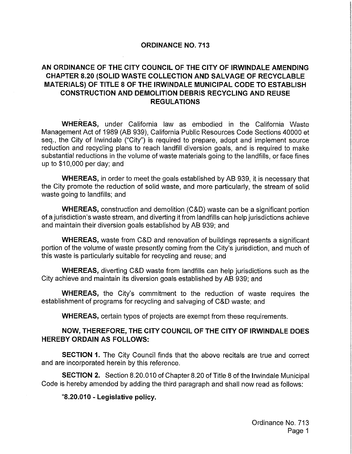#### ORDINANCE NO. 713

### AN ORDINANCE OF THE CITY COUNCIL OF THE CITY OF IRWINDALE AMENDING CHAPTER 8.20 (SOLID WASTE COLLECTION AND SALVAGE OF RECYCLABLE MATERIALS) OF TITLE 8 OF THE IRWINDALE MUNICIPAL CODE TO ESTABLISH CONSTRUCTION AND DEMOLITION DEBRIS RECYCLING AND REUSE REGULATIONS

WHEREAS, under California law as embodied in the California Waste Management Act of 1989 (AB 939), California Public Resources Code Sections 40000 et seq., the City of Irwindale ("City") is required to prepare, adopt and implement source reduction and recycling plans to reach landfill diversion goals, and is required to make substantial reductions in the volume of waste materials going to the landfills, or face fines up to  $$10,000$  per day; and

WHEREAS, in order to meet the goals established by AB 939, it is necessary that the City promote the reduction of solid waste, and more particularly, the stream of solid waste going to landfills; and

WHEREAS, construction and demolition (C&D) waste can be a significant portion of a jurisdiction's waste stream, and diverting it from landfills can help jurisdictions achieve and maintain their diversion goals established by AB 939; and

WHEREAS, waste from C&D and renovation of buildings represents a significant portion of the volume of waste presently coming from the City's jurisdiction, and much of this waste is particularly suitable for recycling and reuse; and

WHEREAS, diverting C&D waste from landfills can help jurisdictions such as the City achieve and maintain its diversion goals established by AB 939; and

WHEREAS, the City's commitment to the reduction of waste requires the establishment of programs for recycling and salvaging of C&D waste; and

WHEREAS, certain types of projects are exempt from these requirements.

#### NOW, THEREFORE, THE CITY COUNCIL OF THE CITY OF IRWINDALE DOES HEREBY ORDAIN AS FOLLOWS:

**SECTION 1.** The City Council finds that the above recitals are true and correct and are incorporated herein by this reference.

SECTION 2. Section 8.20.010 of Chapter 8.20 of Title 8 of the Irwindale Municipal Code is hereby amended by adding the third paragraph and shall now read as follows:

8. 20.010 - Legislative policy.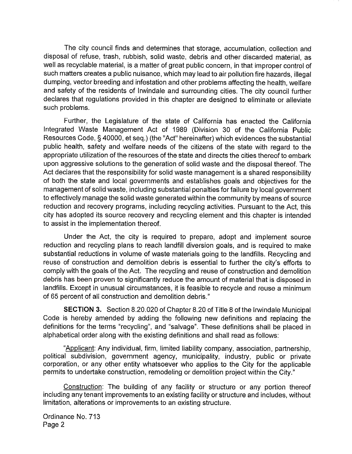The city council finds and determines that storage, accumulation, collection and disposal of refuse, trash, rubbish, solid waste, debris and other discarded material, as well as recyclable material, is a matter of great public concern, in that improper control of such matters creates a public nuisance, which may lead to air pollution fire hazards, illegal dumping, vector breeding and infestation and other problems affecting the health, welfare and safety of the residents of Irwindale and surrounding cities. The city council further declares that regulations provided in this chapter are designed to eliminate or alleviate such problems.

Further, the Legislature of the state of California has enacted the California Integrated Waste Management Act of 1989 ( Division 30 of the California Public Resources Code, § 40000, et seq.) (the "Act" hereinafter) which evidences the substantial public health, safety and welfare needs of the citizens of the state with regard to the appropriate utilization of the resources of the state and directs the cities thereof to embark upon aggressive solutions to the generation of solid waste and the disposal thereof. The Act declares that the responsibility for solid waste management is a shared responsibility of both the state and local governments and establishes goals and objectives for the management of solid waste, including substantial penalties for failure by local government to effectively manage the solid waste generated within the community by means of source reduction and recovery programs, including recycling activities. Pursuant to the Act, this city has adopted its source recovery and recycling element and this chapter is intended to assist in the implementation thereof.

Under the Act, the city is required to prepare, adopt and implement source reduction and recycling plans to reach landfill diversion goals, and is required to make substantial reductions in volume of waste materials going to the landfills. Recycling and reuse of construction and demolition debris is essential to further the city's efforts to comply with the goals of the Act. The recycling and reuse of construction and demolition debris has been proven to significantly reduce the amount of material that is disposed in landfills. Except in unusual circumstances, it is feasible to recycle and reuse a minimum of 65 percent of all construction and demolition debris."

SECTION 3. Section 8.20.020 of Chapter 8.20 of Title 8 of the Irwindale Municipal Code is hereby amended by adding the following new definitions and replacing the definitions for the terms "recycling", and " salvage". These definitions shall be placed in alphabetical order along with the existing definitions and shall read as follows:

Applicant: Any individual, firm, limited liability company, association, partnership, political subdivision, government agency, municipality, industry, public or private corporation, or any other entity whatsoever who applies to the City for the applicable permits to undertake construction, remodeling or demolition project within the City."

Construction: The building of any facility or structure or any portion thereof including any tenant improvements to an existing facility or structure and includes, without limitation, alterations or improvements to an existing structure.

Ordinance No. 713 Page 2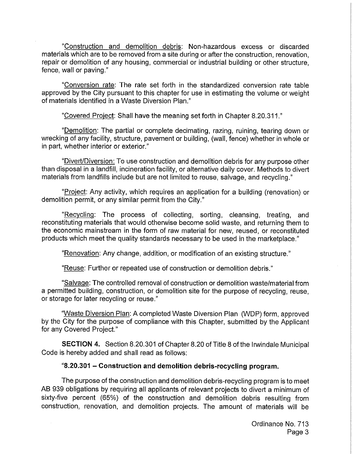Construction and demolition debris: Non -hazardous excess or discarded materials which are to be removed from a site during or after the construction, renovation, repair or demolition of any housing, commercial or industrial building or other structure, fence, wall or paving."

Conversion rate: The rate set forth in the standardized conversion rate table approved by the City pursuant to this chapter for use in estimating the volume or weight of materials identified in a Waste Diversion Plan."

Covered Project: Shall have the meaning set forth in Chapter 8.20. 311."

Demolition: The partial or complete decimating, razing, ruining, tearing down or wrecking of any facility, structure, pavement or building, ( wall, fence) whether in whole or in part, whether interior or exterior."

"Divert/Diversion: To use construction and demolition debris for any purpose other than disposal in a landfill, incineration facility, or alternative daily cover. Methods to divert materials from landfills include but are not limited to reuse, salvage, and recycling."

"Project: Any activity, which requires an application for a building (renovation) or demolition permit, or any similar permit from the City."

"Recycling: The process of collecting, sorting, cleansing, treating, and reconstituting materials that would otherwise become solid waste, and returning them to the economic mainstream in the form of raw material for new, reused, or reconstituted products which meet the quality standards necessary to be used in the marketplace."

Renovation: Any change, addition, or modification of an existing structure."

Reuse: Further or repeated use of construction or demolition debris."

Salvage: The controlled removal of construction or demolition waste/material from a permitted building, construction, or demolition site for the purpose of recycling, reuse, or storage for later recycling or reuse."

"Waste Diversion Plan: A completed Waste Diversion Plan (WDP) form, approved by the City for the purpose of compliance with this Chapter, submitted by the Applicant for any Covered Project."

SECTION 4. Section 8.20.301 of Chapter 8. 20 of Title 8 of the Irwindale Municipal Code is hereby added and shall read as follows:

#### 8. 20.301 — Construction and demolition debris -recycling program.

The purpose of the construction and demolition debris -recycling program is to meet AB 939 obligations by requiring all applicants of relevant projects to divert a minimum of sixty-five percent (65%) of the construction and demolition debris resulting from construction, renovation, and demolition projects. The amount of materials will be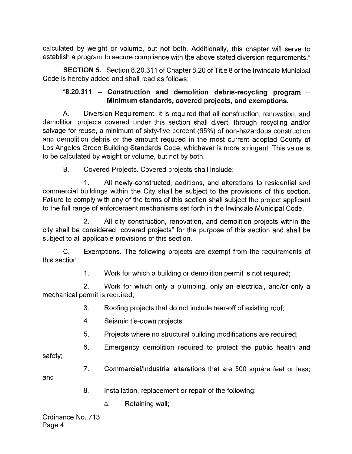calculated by weight or volume, but not both. Additionally, this chapter will serve to establish a program to secure compliance with the above stated diversion requirements."

SECTION 5. Section 8.20. 311 of Chapter 8. 20 of Title 8 of the Irwindale Municipal Code is hereby added and shall read as follows:

# $8.20.311$  – Construction and demolition debris-recycling program – Minimum standards, covered projects, and exemptions.

A. Diversion Requirement. It is required that all construction, renovation, and demolition projects covered under this section shall divert, through recycling and/or salvage for reuse, a minimum of sixty-five percent (65%) of non-hazardous construction and demolition debris or the amount required in the most current adopted County of Los Angeles Green Building Standards Code, whichever is more stringent. This value is to be calculated by weight or volume, but not by both.

B. Covered Projects. Covered projects shall include:

1. All newly -constructed, additions, and alterations to residential and commercial buildings within the City shall be subject to the provisions of this section. Failure to comply with any of the terms of this section shall subject the project applicant to the full range of enforcement mechanisms set forth in the Irwindale Municipal Code.

2. All city construction, renovation, and demolition projects within the city shall be considered "covered projects" for the purpose of this section and shall be subject to all applicable provisions of this section.

C. Exemptions. The following projects are exempt from the requirements of this section:

1. Work for which a building or demolition permit is not required;

2. Work for which only a plumbing, only an electrical, and/or only a mechanical permit is required;

- 3. Roofing projects that do not include tear -off of existing roof;
- 4. Seismic tie -down projects;
- 5. Projects where no structural building modifications are required;
- 6. Emergency demolition required to protect the public health and

safety;

7. Commercial/Industrial alterations that are 500 square feet or less;

and

- 8. Installation, replacement or repair of the following:
	- a. Retaining wall;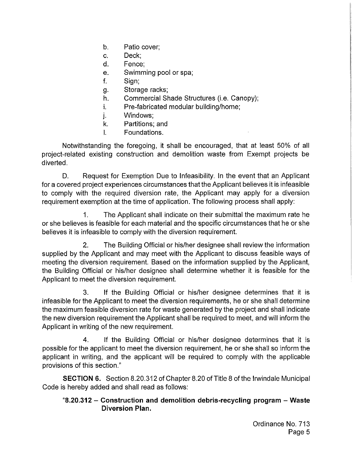- b. Patio cover;
- C. Deck;
- d. Fence;
- e. Swimming pool or spa;
- f. Sign;
- g. Storage racks;
- h. Commercial Shade Structures (*i.e.* Canopy);
- i. Pre-fabricated modular building/home;
- j. Windows;
- k. Partitions; and
- I. Foundations.

Notwithstanding the foregoing, it shall be encouraged, that at least 50% of all project -related existing construction and demolition waste from Exempt projects be diverted.

D. Request for Exemption Due to Infeasibility. In the event that an Applicant for a covered project experiences circumstances that the Applicant believes it is infeasible to comply with the required diversion rate, the Applicant may apply for a diversion requirement exemption at the time of application. The following process shall apply:

1. The Applicant shall indicate on their submittal the maximum rate he or she believes is feasible for each material and the specific circumstances that he or she believes it is infeasible to comply with the diversion requirement.

2. The Building Official or his/her designee shall review the information supplied by the Applicant and may meet with the Applicant to discuss feasible ways of meeting the diversion requirement. Based on the information supplied by the Applicant, the Building Official or his/her designee shall determine whether it is feasible for the Applicant to meet the diversion requirement.

3. If the Building Official or his/her designee determines that it is infeasible for the Applicant to meet the diversion requirements, he or she shall determine the maximum feasible diversion rate for waste generated by the project and shall indicate the new diversion requirement the Applicant shall be required to meet, and will inform the Applicant in writing of the new requirement.

4. If the Building Official or his/her designee determines that it is possible for the applicant to meet the diversion requirement, he or she shall so inform the applicant in writing, and the applicant will be required to comply with the applicable provisions of this section."

SECTION 6. Section 8. 20.312 of Chapter 8. 20 of Title 8 of the Irwindale Municipal Code is hereby added and shall read as follows:

# 8. 20.312 — Construction and demolition debris -recycling program — Waste Diversion Plan.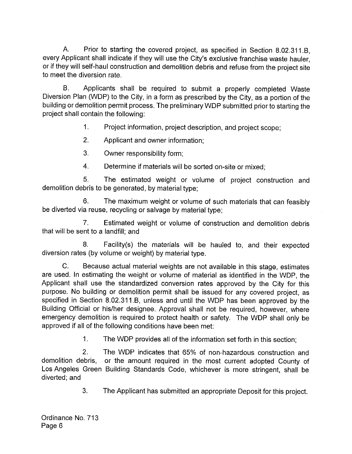A. Prior to starting the covered project, as specified in Section 8.02.311.B. every Applicant shall indicate if they will use the City's exclusive franchise waste hauler, or if they will self-haul construction and demolition debris and refuse from the project site to meet the diversion rate.

B. Applicants shall be required to submit <sup>a</sup> properly completed Waste Diversion Plan ( WDP) to the City, in a form as prescribed by the City, as a portion of the building or demolition permit process. The preliminary WDP submitted prior to starting the project shall contain the following:

1. Project information, project description, and project scope;

2. Applicant and owner information;

3. Owner responsibility form;

4. Determine if materials will be sorted on-site or mixed;

5. The estimated weight or volume of project construction and demolition debris to be generated, by material type;

6. The maximum weight or volume of such materials that can feasibly be diverted via reuse, recycling or salvage by material type;

7. Estimated weight or volume of construction and demolition debris that will be sent to a landfill; and

8. Facility(s) the materials will be hauled to, and their expected diversion rates (by volume or weight) by material type.

C. Because actual material weights are not available in this stage, estimates are used. In estimating the weight or volume of material as identified in the WDP, the Applicant shall use the standardized conversion rates approved by the City for this purpose. No building or demolition permit shall be issued for any covered project, as specified in Section 8.02.311.B, unless and until the WDP has been approved by the Building Official or his/her designee. Approval shall not be required, however, where emergency demolition is required to protect health or safety. The WDP shall only be approved if all of the following conditions have been met:

1. The WDP provides all of the information set forth in this section;

2. The WDP indicates that 65% of non -hazardous construction and demolition debris, or the amount required in the most current adopted County of Los Angeles Green Building Standards Code, whichever is more stringent, shall be diverted; and

3. The Applicant has submitted an appropriate Deposit for this project.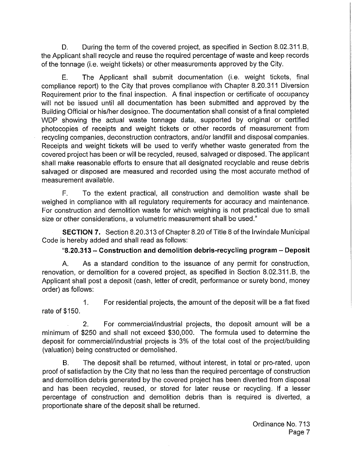D. During the term of the covered project, as specified in Section 8.02.311.B, the Applicant shall recycle and reuse the required percentage of waste and keep records of the tonnage (i.e. weight tickets) or other measurements approved by the City.

E. The Applicant shall submit documentation (i.e. weight tickets, final compliance report) to the City that proves compliance with Chapter 8. 20. 311 Diversion Requirement prior to the final inspection. A final inspection or certificate of occupancy will not be issued until all documentation has been submitted and approved by the Building Official or his/her designee. The documentation shall consist of a final completed WDP showing the actual waste tonnage data, supported by original or certified photocopies of receipts and weight tickets or other records of measurement from recycling companies, deconstruction contractors, and/or landfill and disposal companies. Receipts and weight tickets will be used to verify whether waste generated from the covered project has been or will be recycled, reused, salvaged or disposed. The applicant shall make reasonable efforts to ensure that all designated recyclable and reuse debris salvaged or disposed are measured and recorded using the most accurate method of measurement available.

F. To the extent practical, all construction and demolition waste shall be weighed in compliance with all regulatory requirements for accuracy and maintenance. For construction and demolition waste for which weighing is not practical due to small size or other considerations, a volumetric measurement shall be used."

SECTION 7. Section 8.20. 313 of Chapter 8. 20 of Title 8 of the Irwindale Municipal Code is hereby added and shall read as follows:

# 8. 20.313 — Construction and demolition debris -recycling program — Deposit

A. As a standard condition to the issuance of any permit for construction, renovation, or demolition for a covered project, as specified in Section 8.02.311. B, the Applicant shall post a deposit (cash, letter of credit, performance or surety bond, money order) as follows:

1. For residential projects, the amount of the deposit will be a flat fixed rate of \$150.

2. For commercial/industrial projects, the deposit amount will be a minimum of \$250 and shall not exceed \$30,000. The formula used to determine the deposit for commercial/industrial projects is 3% of the total cost of the project/building valuation) being constructed or demolished.

B. The deposit shall be returned, without interest, in total or pro-rated, upon proof of satisfaction by the City that no less than the required percentage of construction and demolition debris generated by the covered project has been diverted from disposal and has been recycled, reused, or stored for later reuse or recycling. If a lesser percentage of construction and demolition debris than is required is diverted, a proportionate share of the deposit shall be returned.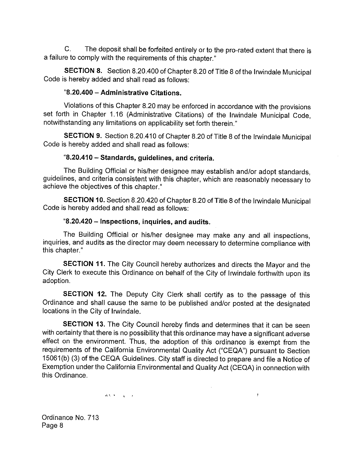C. The deposit shall be forfeited entirely or to the pro-rated extent that there is a failure to comply with the requirements of this chapter."

SECTION 8. Section 8.20.400 of Chapter 8. 20 of Title 8 of the Irwindale Municipal Code is hereby added and shall read as follows:

#### 8. 20.400 — Administrative Citations.

Violations of this Chapter 8.20 may be enforced in accordance with the provisions set forth in Chapter 1.16 (Administrative Citations) of the Irwindale Municipal Code, notwithstanding any limitations on applicability set forth therein."

SECTION 9. Section 8.20.410 of Chapter 8. 20 of Title 8 of the Irwindale Municipal Code is hereby added and shall read as follows:

#### 8. 20.410 —Standards, guidelines, and criteria.

The Building Official or his/her designee may establish and/or adopt standards, guidelines, and criteria consistent with this chapter, which are reasonably necessary to achieve the objectives of this chapter."

SECTION 10. Section 8. 20.420 of Chapter 8. 20 of Title 8 of the Irwindale Municipal Code is hereby added and shall read as follows:

#### 8. 20.420 — Inspections, inquiries, and audits.

The Building Official or his/her designee may make any and all inspections, inquiries, and audits as the director may deem necessary to determine compliance with this chapter."

SECTION 11. The City Council hereby authorizes and directs the Mayor and the City Clerk to execute this Ordinance on behalf of the City of Irwindale forthwith upon its adoption.

SECTION 12. The Deputy City Clerk shall certify as to the passage of this Ordinance and shall cause the same to be published and/or posted at the designated locations in the City of Irwindale.

SECTION 13. The City Council hereby finds and determines that it can be seen with certainty that there is no possibility that this ordinance may have a significant adverse effect on the environment. Thus, the adoption of this ordinance is exempt from the requirements of the California Environmental Quality Act ("CEQA") pursuant to Section 15061(b) (3) of the CEQA Guidelines. City staff is directed to prepare and file a Notice of Exemption under the California Environmental and Quality Act (CEQA) in connection with this Ordinance.

 $\alpha$ 

 $\mathfrak{f}$ 

 $\label{eq:11} \eta\lambda(\mathbf{v}_i,\mathbf{v}_i) = -\mathbf{y}_i - \mathbf{y}_i$ 

Ordinance No. 713 Page 8